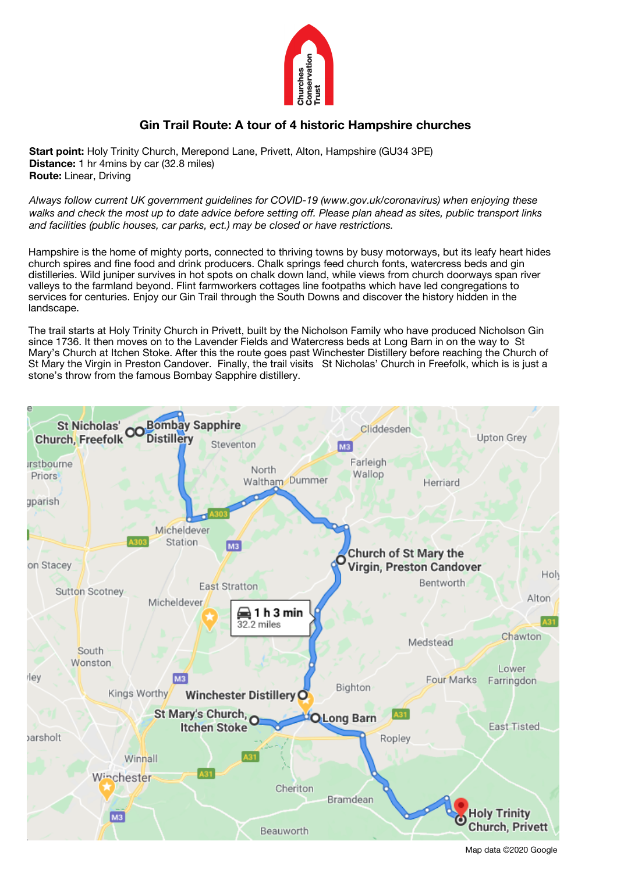

# **Gin Trail Route: A tour of 4 historic Hampshire churches**

**Start point:** Holy Trinity Church, Merepond Lane, Privett, Alton, Hampshire (GU34 3PE) **Distance:** 1 hr 4mins by car (32.8 miles) **Route:** Linear, Driving

*Always follow current UK government guidelines for COVID-19 (www.gov.uk/coronavirus) when enjoying these walks and check the most up to date advice before setting off. Please plan ahead as sites, public transport links and facilities (public houses, car parks, ect.) may be closed or have restrictions.* 

Hampshire is the home of mighty ports, connected to thriving towns by busy motorways, but its leafy heart hides church spires and fine food and drink producers. Chalk springs feed church fonts, watercress beds and gin distilleries. Wild juniper survives in hot spots on chalk down land, while views from church doorways span river valleys to the farmland beyond. Flint farmworkers cottages line footpaths which have led congregations to services for centuries. Enjoy our Gin Trail through the South Downs and discover the history hidden in the landscape.

The trail starts at Holy Trinity Church in Privett, built by the Nicholson Family who have produced Nicholson Gin since 1736. It then moves on to the Lavender Fields and Watercress beds at Long Barn in on the way to St Mary's Church at Itchen Stoke. After this the route goes past Winchester Distillery before reaching the Church of St Mary the Virgin in Preston Candover. Finally, the trail visits St Nicholas' Church in Freefolk, which is is just a stone's throw from the famous Bombay Sapphire distillery.

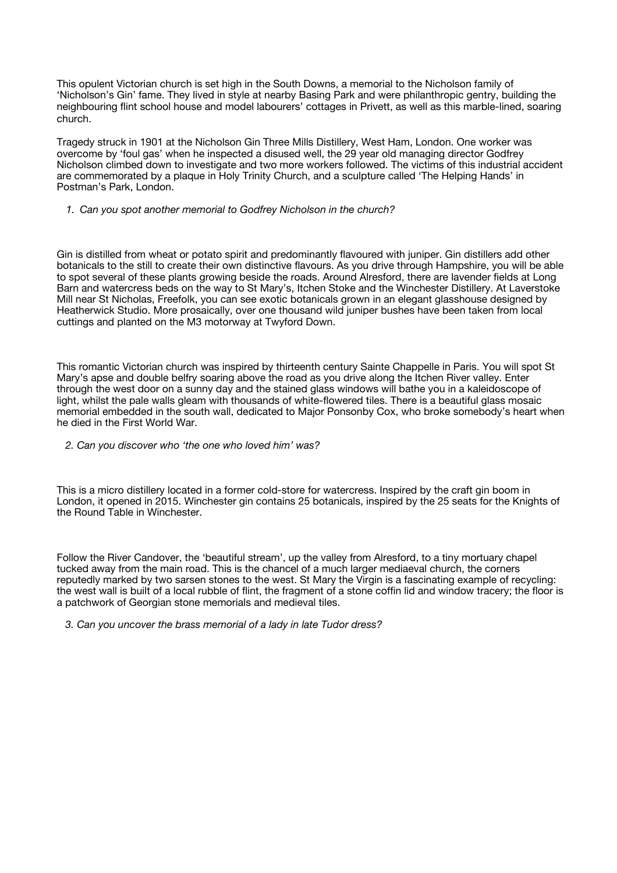This opulent Victorian church is set high in the South Downs, a memorial to the Nicholson family of 'Nicholson's Gin' fame. They lived in style at nearby Basing Park and were philanthropic gentry, building the neighbouring flint school house and model labourers' cottages in Privett, as well as this marble-lined, soaring church.

Tragedy struck in 1901 at the Nicholson Gin Three Mills Distillery, West Ham, London. One worker was overcome by 'foul gas' when he inspected a disused well, the 29 year old managing director Godfrey Nicholson climbed down to investigate and two more workers followed. The victims of this industrial accident are commemorated by a plaque in Holy Trinity Church, and a sculpture called 'The Helping Hands' in Postman's Park, London.

*1. Can you spot another memorial to Godfrey Nicholson in the church?*

## *)otanicals*

Gin is distilled from wheat or potato spirit and predominantly flavoured with juniper. Gin distillers add other botanicals to the still to create their own distinctive flavours. As you drive through Hampshire, you will be able to spot several of these plants growing beside the roads. Around Alresford, there are lavender fields at Long Barn and watercress beds on the way to St Mary's, Itchen Stoke and the Winchester Distillery. At Laverstoke Mill near St Nicholas, Freefolk, you can see exotic botanicals grown in an elegant glasshouse designed by Heatherwick Studio. More prosaically, over one thousand wild juniper bushes have been taken from local cuttings and planted on the M3 motorway at Twyford Down.

## St Mary's, Itchen Stoke

This romantic Victorian church was inspired by thirteenth century Sainte Chappelle in Paris. You will spot St Mary's apse and double belfry soaring above the road as you drive along the Itchen River valley. Enter through the west door on a sunny day and the stained glass windows will bathe you in a kaleidoscope of light, whilst the pale walls gleam with thousands of white-flowered tiles. There is a beautiful glass mosaic memorial embedded in the south wall, dedicated to Major Ponsonby Cox, who broke somebody's heart when he died in the First World War.

#### *2. Can you discover who 'the one who loved him' was?*

#### *inchester istillery ld lresford*

This is a micro distillery located in a former cold-store for watercress. Inspired by the craft gin boom in London, it opened in 2015. Winchester gin contains 25 botanicals, inspired by the 25 seats for the Knights of the Round Table in Winchester.

# St Mary the Virgin Old Church, Preston Candover

Follow the River Candover, the 'beautiful stream', up the valley from Alresford, to a tiny mortuary chapel tucked away from the main road. This is the chancel of a much larger mediaeval church, the corners reputedly marked by two sarsen stones to the west. St Mary the Virgin is a fascinating example of recycling: the west wall is built of a local rubble of flint, the fragment of a stone coffin lid and window tracery; the floor is a patchwork of Georgian stone memorials and medieval tiles.

 *3. Can you uncover the brass memorial of a lady in late Tudor dress?*